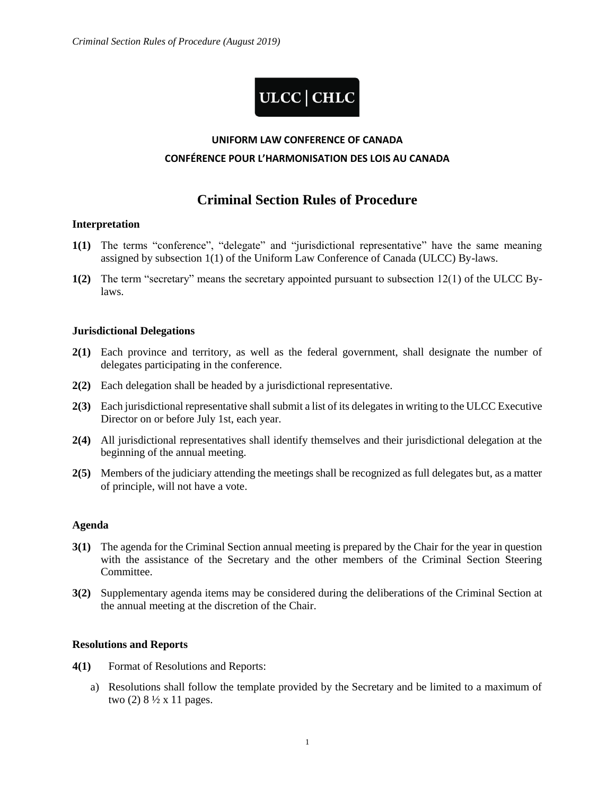# ULCC | CHLC

## **UNIFORM LAW CONFERENCE OF CANADA**

#### **CONFÉRENCE POUR L'HARMONISATION DES LOIS AU CANADA**

### **Criminal Section Rules of Procedure**

#### **Interpretation**

- **1(1)** The terms "conference", "delegate" and "jurisdictional representative" have the same meaning assigned by subsection 1(1) of the Uniform Law Conference of Canada (ULCC) By-laws.
- **1(2)** The term "secretary" means the secretary appointed pursuant to subsection 12(1) of the ULCC Bylaws.

#### **Jurisdictional Delegations**

- **2(1)** Each province and territory, as well as the federal government, shall designate the number of delegates participating in the conference.
- **2(2)** Each delegation shall be headed by a jurisdictional representative.
- **2(3)** Each jurisdictional representative shall submit a list of its delegates in writing to the ULCC Executive Director on or before July 1st, each year.
- **2(4)** All jurisdictional representatives shall identify themselves and their jurisdictional delegation at the beginning of the annual meeting.
- **2(5)** Members of the judiciary attending the meetings shall be recognized as full delegates but, as a matter of principle, will not have a vote.

#### **Agenda**

- **3(1)** The agenda for the Criminal Section annual meeting is prepared by the Chair for the year in question with the assistance of the Secretary and the other members of the Criminal Section Steering Committee.
- **3(2)** Supplementary agenda items may be considered during the deliberations of the Criminal Section at the annual meeting at the discretion of the Chair.

#### **Resolutions and Reports**

- **4(1)** Format of Resolutions and Reports:
	- a) Resolutions shall follow the template provided by the Secretary and be limited to a maximum of two  $(2)$  8  $\frac{1}{2}$  x 11 pages.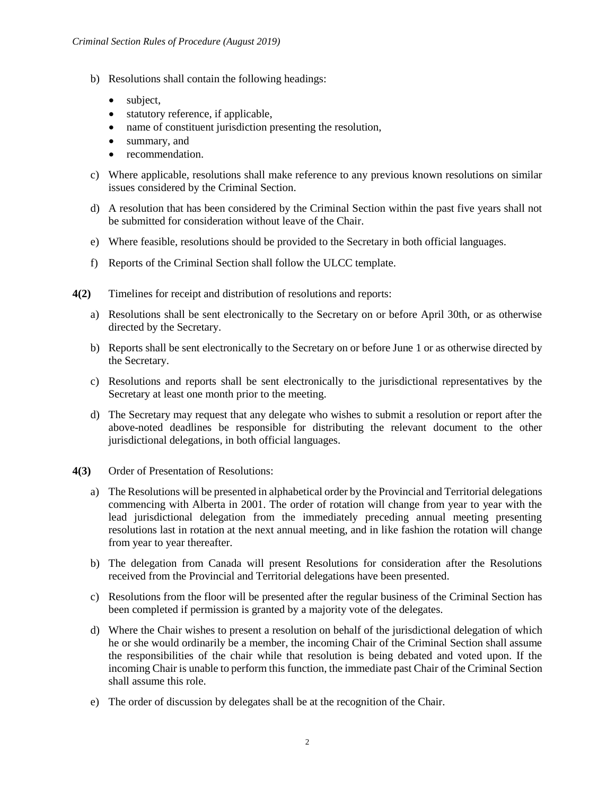- b) Resolutions shall contain the following headings:
	- subject,
	- statutory reference, if applicable,
	- name of constituent jurisdiction presenting the resolution,
	- summary, and
	- recommendation.
- c) Where applicable, resolutions shall make reference to any previous known resolutions on similar issues considered by the Criminal Section.
- d) A resolution that has been considered by the Criminal Section within the past five years shall not be submitted for consideration without leave of the Chair.
- e) Where feasible, resolutions should be provided to the Secretary in both official languages.
- f) Reports of the Criminal Section shall follow the ULCC template.
- **4(2)** Timelines for receipt and distribution of resolutions and reports:
	- a) Resolutions shall be sent electronically to the Secretary on or before April 30th, or as otherwise directed by the Secretary.
	- b) Reports shall be sent electronically to the Secretary on or before June 1 or as otherwise directed by the Secretary.
	- c) Resolutions and reports shall be sent electronically to the jurisdictional representatives by the Secretary at least one month prior to the meeting.
	- d) The Secretary may request that any delegate who wishes to submit a resolution or report after the above-noted deadlines be responsible for distributing the relevant document to the other jurisdictional delegations, in both official languages.
- **4(3)** Order of Presentation of Resolutions:
	- a) The Resolutions will be presented in alphabetical order by the Provincial and Territorial delegations commencing with Alberta in 2001. The order of rotation will change from year to year with the lead jurisdictional delegation from the immediately preceding annual meeting presenting resolutions last in rotation at the next annual meeting, and in like fashion the rotation will change from year to year thereafter.
	- b) The delegation from Canada will present Resolutions for consideration after the Resolutions received from the Provincial and Territorial delegations have been presented.
	- c) Resolutions from the floor will be presented after the regular business of the Criminal Section has been completed if permission is granted by a majority vote of the delegates.
	- d) Where the Chair wishes to present a resolution on behalf of the jurisdictional delegation of which he or she would ordinarily be a member, the incoming Chair of the Criminal Section shall assume the responsibilities of the chair while that resolution is being debated and voted upon. If the incoming Chair is unable to perform this function, the immediate past Chair of the Criminal Section shall assume this role.
	- e) The order of discussion by delegates shall be at the recognition of the Chair.